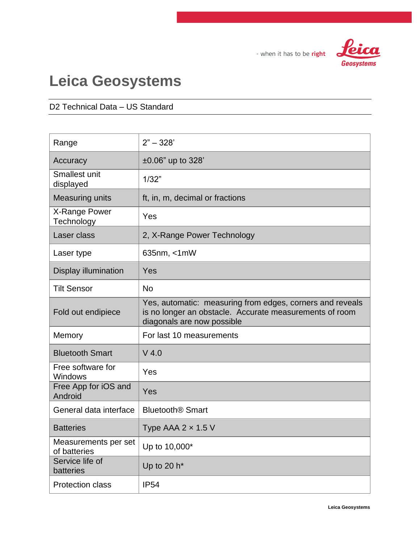fei Geosystems

- when it has to be right

# **Leica Geosystems**

#### D2 Technical Data – US Standard

| Range                                | $2" - 328'$                                                                                                                                        |
|--------------------------------------|----------------------------------------------------------------------------------------------------------------------------------------------------|
| Accuracy                             | $±0.06"$ up to 328'                                                                                                                                |
| Smallest unit<br>displayed           | 1/32"                                                                                                                                              |
| <b>Measuring units</b>               | ft, in, m, decimal or fractions                                                                                                                    |
| X-Range Power<br>Technology          | Yes                                                                                                                                                |
| Laser class                          | 2, X-Range Power Technology                                                                                                                        |
| Laser type                           | 635nm, < 1mW                                                                                                                                       |
| <b>Display illumination</b>          | Yes                                                                                                                                                |
| <b>Tilt Sensor</b>                   | <b>No</b>                                                                                                                                          |
| Fold out endipiece                   | Yes, automatic: measuring from edges, corners and reveals<br>is no longer an obstacle. Accurate measurements of room<br>diagonals are now possible |
| Memory                               | For last 10 measurements                                                                                                                           |
| <b>Bluetooth Smart</b>               | $V$ 4.0                                                                                                                                            |
| Free software for<br>Windows         | Yes                                                                                                                                                |
| Free App for iOS and<br>Android      | Yes                                                                                                                                                |
| General data interface               | <b>Bluetooth<sup>®</sup> Smart</b>                                                                                                                 |
| <b>Batteries</b>                     | Type AAA $2 \times 1.5$ V                                                                                                                          |
| Measurements per set<br>of batteries | Up to 10,000*                                                                                                                                      |
| Service life of<br>batteries         | Up to 20 $h^*$                                                                                                                                     |
| <b>Protection class</b>              | <b>IP54</b>                                                                                                                                        |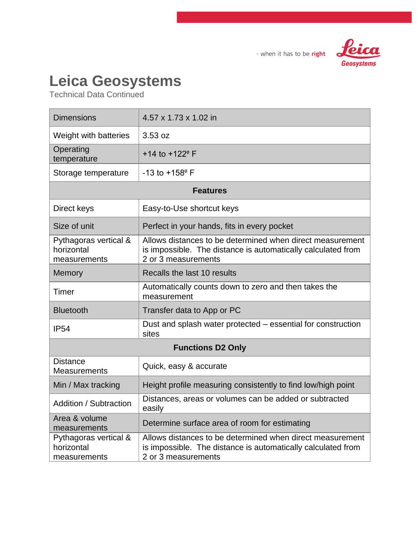

#### - when it has to be right

# **Leica Geosystems**

Technical Data Continued

| <b>Dimensions</b>                                   | 4.57 x 1.73 x 1.02 in                                                                                                                            |  |
|-----------------------------------------------------|--------------------------------------------------------------------------------------------------------------------------------------------------|--|
| Weight with batteries                               | 3.53 oz                                                                                                                                          |  |
| Operating<br>temperature                            | +14 to +122° F                                                                                                                                   |  |
| Storage temperature                                 | $-13$ to $+158$ ° F                                                                                                                              |  |
| <b>Features</b>                                     |                                                                                                                                                  |  |
| Direct keys                                         | Easy-to-Use shortcut keys                                                                                                                        |  |
| Size of unit                                        | Perfect in your hands, fits in every pocket                                                                                                      |  |
| Pythagoras vertical &<br>horizontal<br>measurements | Allows distances to be determined when direct measurement<br>is impossible. The distance is automatically calculated from<br>2 or 3 measurements |  |
| Memory                                              | Recalls the last 10 results                                                                                                                      |  |
| Timer                                               | Automatically counts down to zero and then takes the<br>measurement                                                                              |  |
| <b>Bluetooth</b>                                    | Transfer data to App or PC                                                                                                                       |  |
| <b>IP54</b>                                         | Dust and splash water protected – essential for construction<br>sites                                                                            |  |
| <b>Functions D2 Only</b>                            |                                                                                                                                                  |  |
| <b>Distance</b><br><b>Measurements</b>              | Quick, easy & accurate                                                                                                                           |  |
| Min / Max tracking                                  | Height profile measuring consistently to find low/high point                                                                                     |  |
| Addition / Subtraction                              | Distances, areas or volumes can be added or subtracted<br>easily                                                                                 |  |
| Area & volume<br>measurements                       | Determine surface area of room for estimating                                                                                                    |  |
| Pythagoras vertical &<br>horizontal<br>measurements | Allows distances to be determined when direct measurement<br>is impossible. The distance is automatically calculated from<br>2 or 3 measurements |  |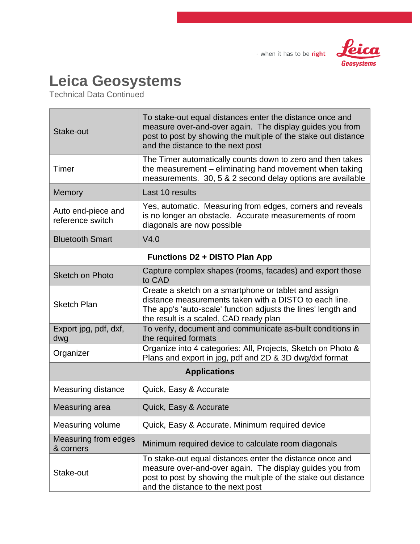



### **Leica Geosystems**

Technical Data Continued

| Stake-out                              | To stake-out equal distances enter the distance once and<br>measure over-and-over again. The display guides you from<br>post to post by showing the multiple of the stake out distance<br>and the distance to the next post |  |
|----------------------------------------|-----------------------------------------------------------------------------------------------------------------------------------------------------------------------------------------------------------------------------|--|
| Timer                                  | The Timer automatically counts down to zero and then takes<br>the measurement – eliminating hand movement when taking<br>measurements. 30, 5 & 2 second delay options are available                                         |  |
| Memory                                 | Last 10 results                                                                                                                                                                                                             |  |
| Auto end-piece and<br>reference switch | Yes, automatic. Measuring from edges, corners and reveals<br>is no longer an obstacle. Accurate measurements of room<br>diagonals are now possible                                                                          |  |
| <b>Bluetooth Smart</b>                 | V4.0                                                                                                                                                                                                                        |  |
| <b>Functions D2 + DISTO Plan App</b>   |                                                                                                                                                                                                                             |  |
| <b>Sketch on Photo</b>                 | Capture complex shapes (rooms, facades) and export those<br>to CAD                                                                                                                                                          |  |
| <b>Sketch Plan</b>                     | Create a sketch on a smartphone or tablet and assign<br>distance measurements taken with a DISTO to each line.<br>The app's 'auto-scale' function adjusts the lines' length and<br>the result is a scaled, CAD ready plan   |  |
| Export jpg, pdf, dxf,<br>dwg           | To verify, document and communicate as-built conditions in<br>the required formats                                                                                                                                          |  |
| Organizer                              | Organize into 4 categories: All, Projects, Sketch on Photo &<br>Plans and export in jpg, pdf and 2D & 3D dwg/dxf format                                                                                                     |  |
| <b>Applications</b>                    |                                                                                                                                                                                                                             |  |
| <b>Measuring distance</b>              | Quick, Easy & Accurate                                                                                                                                                                                                      |  |
| Measuring area                         | Quick, Easy & Accurate                                                                                                                                                                                                      |  |
| Measuring volume                       | Quick, Easy & Accurate. Minimum required device                                                                                                                                                                             |  |
| Measuring from edges<br>& corners      | Minimum required device to calculate room diagonals                                                                                                                                                                         |  |
| Stake-out                              | To stake-out equal distances enter the distance once and<br>measure over-and-over again. The display guides you from<br>post to post by showing the multiple of the stake out distance<br>and the distance to the next post |  |